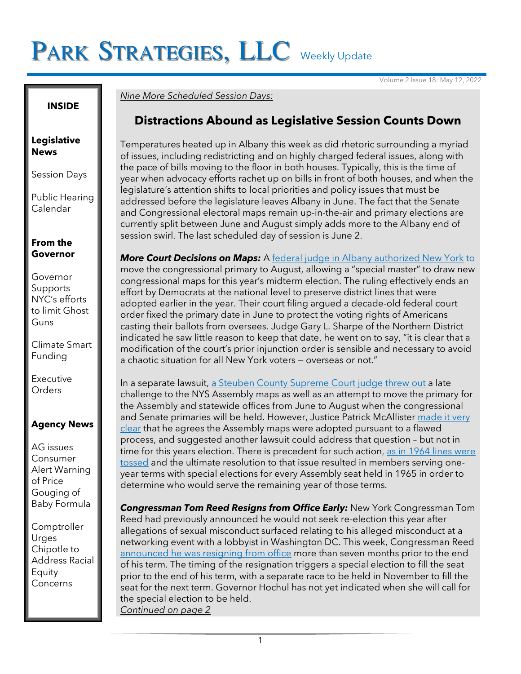# PARK STRATEGIES, LLC Weekly Update

Volume 2 Issue 18: May 12, 2022

#### **INSIDE**

#### **Legislative News**

Session Days

Public Hearing Calendar

### **From the Governor**

Governor **Supports** NYC's efforts to limit Ghost Guns

Climate Smart Funding

Executive **Orders** 

## **Agency News**

AG issues Consumer Alert Warning of Price Gouging of Baby Formula

**Comptroller** Urges Chipotle to Address Racial Equity Concerns

*Nine More Scheduled Session Days:*

## **Distractions Abound as Legislative Session Counts Down**

Temperatures heated up in Albany this week as did rhetoric surrounding a myriad of issues, including redistricting and on highly charged federal issues, along with the pace of bills moving to the floor in both houses. Typically, this is the time of year when advocacy efforts rachet up on bills in front of both houses, and when the legislature's attention shifts to local priorities and policy issues that must be addressed before the legislature leaves Albany in June. The fact that the Senate and Congressional electoral maps remain up-in-the-air and primary elections are currently split between June and August simply adds more to the Albany end of session swirl. The last scheduled day of session is June 2.

*More Court Decisions on Maps:* A [federal judge in Albany authorized New York](https://www.nytimes.com/2022/05/10/nyregion/primary-election-new-york.html) to move the congressional primary to August, allowing a "special master" to draw new congressional maps for this year's midterm election. The ruling effectively ends an effort by Democrats at the national level to preserve district lines that were adopted earlier in the year. Their court filing argued a decade-old federal court order fixed the primary date in June to protect the voting rights of Americans casting their ballots from oversees. Judge Gary L. Sharpe of the Northern District indicated he saw little reason to keep that date, he went on to say, "it is clear that a modification of the court's prior injunction order is sensible and necessary to avoid a chaotic situation for all New York voters — overseas or not."

In a separate lawsuit, [a Steuben County Supreme Court judge threw out](https://twitter.com/JimmyVielkind/status/1524401504165187584) a late challenge to the NYS Assembly maps as well as an attempt to move the primary for the Assembly and statewide offices from June to August when the congressional and Senate primaries will be held. However, Justice Patrick McAllister made it very [clear](https://twitter.com/JimmyVielkind/status/1524401504165187584) that he agrees the Assembly maps were adopted pursuant to a flawed process, and suggested another lawsuit could address that question – but not in time for this years election. There is precedent for such action[, as in 1964 lines were](https://twitter.com/mahoneyw/status/1524405923313336320)  [tossed](https://twitter.com/mahoneyw/status/1524405923313336320) and the ultimate resolution to that issue resulted in members serving oneyear terms with special elections for every Assembly seat held in 1965 in order to determine who would serve the remaining year of those terms.

*Congressman Tom Reed Resigns from Office Early:* New York Congressman Tom Reed had previously announced he would not seek re-election this year after allegations of sexual misconduct surfaced relating to his alleged misconduct at a networking event with a lobbyist in Washington DC. This week, Congressman Reed [announced he was resigning from office](https://apnews.com/article/elections-new-york-presidential-election-2020-tom-reed-b7173b0292b11725a207c499dedfe11f) more than seven months prior to the end of his term. The timing of the resignation triggers a special election to fill the seat prior to the end of his term, with a separate race to be held in November to fill the seat for the next term. Governor Hochul has not yet indicated when she will call for the special election to be held. *Continued on page 2*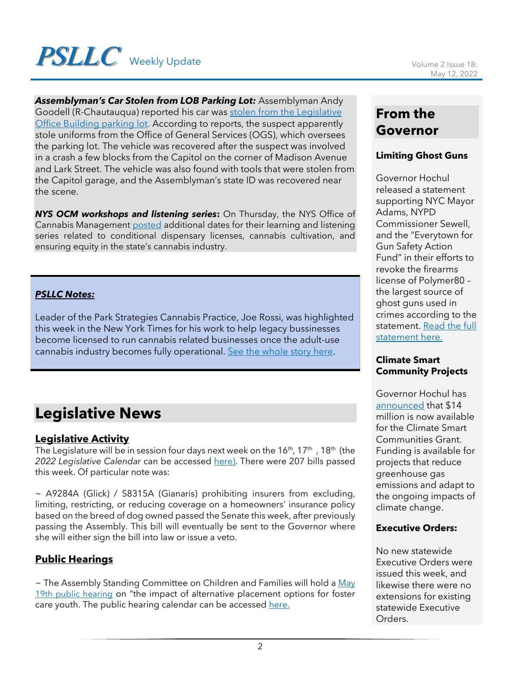# **PSLLC** Weekly Update Volume 2 Issue 18:

*Assemblyman's Car Stolen from LOB Parking Lot:* Assemblyman Andy Goodell (R-Chautauqua) reported his car was [stolen from the Legislative](https://nypost.com/2022/05/11/ny-assemblyman-andrew-goodells-car-stolen-from-capitol-garage/)  [Office Building parking lot.](https://nypost.com/2022/05/11/ny-assemblyman-andrew-goodells-car-stolen-from-capitol-garage/) According to reports, the suspect apparently stole uniforms from the Office of General Services (OGS), which oversees the parking lot. The vehicle was recovered after the suspect was involved in a crash a few blocks from the Capitol on the corner of Madison Avenue and Lark Street. The vehicle was also found with tools that were stolen from the Capitol garage, and the Assemblyman's state ID was recovered near the scene.

*NYS OCM workshops and listening series***:** On Thursday, the NYS Office of Cannabis Management [posted](https://cannabis.ny.gov/cannabis-workshops) additional dates for their learning and listening series related to conditional dispensary licenses, cannabis cultivation, and ensuring equity in the state's cannabis industry.

## *PSLLC Notes:*

Leader of the Park Strategies Cannabis Practice, Joe Rossi, was highlighted this week in the New York Times for his work to help legacy bussinesses become licensed to run cannabis related businesses once the adult-use cannabis industry becomes fully operational. [See the whole story here.](https://www.nytimes.com/2022/05/11/nyregion/marijuana-legalization-nyc.html)

## **Legislative News**

## **Legislative Activity**

The Legislature will be in session four days next week on the 16<sup>th</sup>, 17<sup>th</sup> , 18<sup>th</sup> (the *2022 Legislative Calendar* can be accessed [here\)](https://www.nyassembly.gov/leg/docs/sessioncalendar_2022.pdf). There were 207 bills passed this week. Of particular note was:

 $\sim$  A9284A (Glick) / S8315A (Gianaris) prohibiting insurers from excluding, limiting, restricting, or reducing coverage on a homeowners' insurance policy based on the breed of dog owned passed the Senate this week, after previously passing the Assembly. This bill will eventually be sent to the Governor where she will either sign the bill into law or issue a veto.

## **Public Hearings**

 $\sim$  The Assembly Standing Committee on Children and Families will hold a  $\frac{\text{May}}{\text{day}}$ [19th public hearing](https://nyassembly.gov/leg/?sh=hear) on "the impact of alternative placement options for foster care youth. The public hearing calendar can be accessed [here.](https://www.nyassembly.gov/leg/?sh=hear)

## **From the Governor**

#### **Limiting Ghost Guns**

Governor Hochul released a statement supporting NYC Mayor Adams, NYPD Commissioner Sewell, and the "Everytown for Gun Safety Action Fund" in their efforts to revoke the firearms license of Polymer80 – the largest source of ghost guns used in crimes according to the statement. [Read the full](https://www.governor.ny.gov/news/statement-governor-kathy-hochul-call-revoke-firearms-license-nations-largest-supplier-ghost)  [statement here](https://www.governor.ny.gov/news/statement-governor-kathy-hochul-call-revoke-firearms-license-nations-largest-supplier-ghost).

## **Climate Smart Community Projects**

Governor Hochul has [announced](https://www.governor.ny.gov/news/governor-hochul-announces-record-14-million-new-climate-smart-community-projects) that \$14 million is now available for the Climate Smart Communities Grant. Funding is available for projects that reduce greenhouse gas emissions and adapt to the ongoing impacts of climate change.

## **Executive Orders:**

No new statewide Executive Orders were issued this week, and likewise there were no extensions for existing statewide Executive Orders.